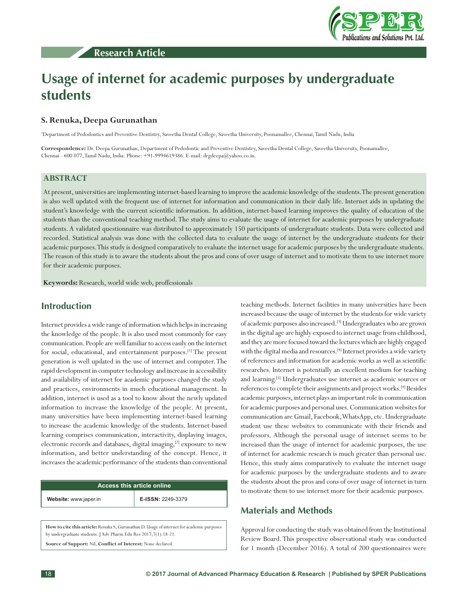



# **Usage of internet for academic purposes by undergraduate students**

## **S. Renuka, Deepa Gurunathan**

1 Department of Pedodontics and Preventive Dentistry, Saveetha Dental College, Saveetha University, Poonamallee, Chennai, Tamil Nadu, India

**Correspondence:** Dr. Deepa Gurunathan, Department of Pedodontic and Preventive Dentistry, Saveetha Dental College, Saveetha University, Poonamallee, Chennai - 600 077, Tamil Nadu, India. Phone: +91-9994619386. E-mail: drgdeepa@yahoo.co.in.

## **ABSTRACT**

At present, universities are implementing internet-based learning to improve the academic knowledge of the students. The present generation is also well updated with the frequent use of internet for information and communication in their daily life. Internet aids in updating the student's knowledge with the current scientific information. In addition, internet-based learning improves the quality of education of the students than the conventional teaching method. The study aims to evaluate the usage of internet for academic purposes by undergraduate students. A validated questionnaire was distributed to approximately 150 participants of undergraduate students. Data were collected and recorded. Statistical analysis was done with the collected data to evaluate the usage of internet by the undergraduate students for their academic purposes. This study is designed comparatively to evaluate the internet usage for academic purposes by the undergraduate students. The reason of this study is to aware the students about the pros and cons of over usage of internet and to motivate them to use internet more for their academic purposes.

**Keywords:** Research, world wide web, proffessionals

# **Introduction**

Internet provides a wide range of information which helps in increasing the knowledge of the people. It is also used most commonly for easy communication. People are well familiar to access easily on the internet for social, educational, and entertainment purposes.[1] The present generation is well updated in the use of internet and computer. The rapid development in computer technology and increase in accessibility and availability of internet for academic purposes changed the study and practices, environments in much educational management. In addition, internet is used as a tool to know about the newly updated information to increase the knowledge of the people. At present, many universities have been implementing internet-based learning to increase the academic knowledge of the students. Internet-based learning comprises communication, interactivity, displaying images, electronic records and databases, digital imaging,<sup>[2]</sup> exposure to new information, and better understanding of the concept. Hence, it increases the academic performance of the students than conventional

| Access this article online |                   |  |
|----------------------------|-------------------|--|
| Website: www.japer.in      | E-ISSN: 2249-3379 |  |

**How to cite this article:** Renuka S, Gurunathan D. Usage of internet for academic purposes by undergraduate students. J Adv Pharm Edu Res 2017;7(1):18-21. **Source of Support:** Nil, **Conflict of Interest:** None declared.

teaching methods. Internet facilities in many universities have been increased because the usage of internet by the students for wide variety of academic purposes also increased.[3] Undergraduates who are grown in the digital age are highly exposed to internet usage from childhood, and they are more focused toward the lectures which are highly engaged with the digital media and resources.<sup>[4]</sup> Internet provides a wide variety of references and information for academic works as well as scientific researches. Internet is potentially an excellent medium for teaching and learning.<sup>[5]</sup> Undergraduates use internet as academic sources or references to complete their assignments and project works.[4] Besides academic purposes, internet plays an important role in communication for academic purposes and personal uses. Communication websites for communication are Gmail, Facebook, WhatsApp, etc. Undergraduate student use these websites to communicate with their friends and professors. Although the personal usage of internet seems to be increased than the usage of internet for academic purposes, the use of internet for academic research is much greater than personal use. Hence, this study aims comparatively to evaluate the internet usage for academic purposes by the undergraduate students and to aware the students about the pros and cons of over usage of internet in turn to motivate them to use internet more for their academic purposes.

#### **Materials and Methods**

Approval for conducting the study was obtained from the Institutional Review Board. This prospective observational study was conducted for 1 month (December 2016). A total of 200 questionnaires were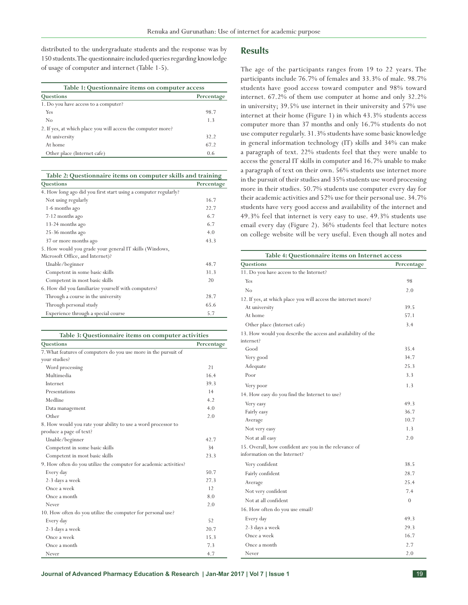distributed to the undergraduate students and the response was by 150 students. The questionnaire included queries regarding knowledge of usage of computer and internet (Table 1-5).

| Table 1: Questionnaire items on computer access              |            |  |
|--------------------------------------------------------------|------------|--|
| Questions                                                    | Percentage |  |
| 1. Do you have access to a computer?                         |            |  |
| Yes                                                          | 98.7       |  |
| No                                                           | 1.3        |  |
| 2. If yes, at which place you will access the computer more? |            |  |
| At university                                                | 32.2       |  |
| At home                                                      | 67.2       |  |
| Other place (Internet cafe)                                  | 0.6        |  |

**Table 2: Questionnaire items on computer skills and training Questions Percentage**

| Vucstions                                                       | rereduag |
|-----------------------------------------------------------------|----------|
| 4. How long ago did you first start using a computer regularly? |          |
| Not using regularly                                             | 16.7     |
| 1-6 months ago                                                  | 22.7     |
| 7-12 months ago                                                 | 6.7      |
| 13-24 months ago                                                | 6.7      |
| 25-36 months ago                                                | 4.0      |
| 37 or more months ago                                           | 43.3     |
| 5. How would you grade your general IT skills (Windows,         |          |
| Microsoft Office, and Internet)?                                |          |
| Unable/beginner                                                 | 48.7     |
| Competent in some basic skills                                  | 31.3     |
| Competent in most basic skills                                  | 20       |
| 6. How did you familiarize yourself with computers?             |          |
| Through a course in the university                              | 28.7     |
| Through personal study                                          | 65.6     |
| Experience through a special course                             | 5.7      |

| Table 3: Questionnaire items on computer activities               |            |  |
|-------------------------------------------------------------------|------------|--|
| Questions                                                         | Percentage |  |
| 7. What features of computers do you use more in the pursuit of   |            |  |
| your studies?                                                     |            |  |
| Word processing                                                   | 21         |  |
| Multimedia                                                        | 16.4       |  |
| Internet                                                          | 39.3       |  |
| Presentations                                                     | 14         |  |
| Medline                                                           | 4.2        |  |
| Data management                                                   | 4.0        |  |
| Other                                                             | 2.0        |  |
| 8. How would you rate your ability to use a word processor to     |            |  |
| produce a page of text?                                           |            |  |
| Unable/beginner                                                   | 42.7       |  |
| Competent in some basic skills                                    | 34         |  |
| Competent in most basic skills                                    | 23.3       |  |
| 9. How often do you utilize the computer for academic activities? |            |  |
| Every day                                                         | 50.7       |  |
| 2-3 days a week                                                   | 27.3       |  |
| Once a week                                                       | 12         |  |
| Once a month                                                      | 8.0        |  |
| Never                                                             | 2.0        |  |
| 10. How often do you utilize the computer for personal use?       |            |  |
| Every day                                                         | 52         |  |
| 2-3 days a week                                                   | 20.7       |  |
| Once a week                                                       | 15.3       |  |
| Once a month                                                      | 7.3        |  |
| Never                                                             | 4.7        |  |

## **Results**

The age of the participants ranges from 19 to 22 years. The participants include 76.7% of females and 33.3% of male. 98.7% students have good access toward computer and 98% toward internet. 67.2% of them use computer at home and only 32.2% in university; 39.5% use internet in their university and 57% use internet at their home (Figure 1) in which 43.3% students access computer more than 37 months and only 16.7% students do not use computer regularly. 31.3% students have some basic knowledge in general information technology (IT) skills and 34% can make a paragraph of text. 22% students feel that they were unable to access the general IT skills in computer and 16.7% unable to make a paragraph of text on their own. 56% students use internet more in the pursuit of their studies and 35% students use word processing more in their studies. 50.7% students use computer every day for their academic activities and 52% use for their personal use. 34.7% students have very good access and availability of the internet and 49.3% feel that internet is very easy to use. 49.3% students use email every day (Figure 2). 36% students feel that lecture notes on college website will be very useful. Even though all notes and

| Table 4: Questionnaire items on Internet access                                        |            |  |
|----------------------------------------------------------------------------------------|------------|--|
| Questions                                                                              | Percentage |  |
| 11. Do you have access to the Internet?                                                |            |  |
| Yes                                                                                    | 98         |  |
| No                                                                                     | 2.0        |  |
| 12. If yes, at which place you will access the internet more?                          |            |  |
| At university                                                                          | 39.5       |  |
| At home                                                                                | 57.1       |  |
| Other place (Internet cafe)                                                            | 3.4        |  |
| 13. How would you describe the access and availability of the                          |            |  |
| internet?                                                                              |            |  |
| Good                                                                                   | 35.4       |  |
| Very good                                                                              | 34.7       |  |
| Adequate                                                                               | 25.3       |  |
| Poor                                                                                   | 3.3        |  |
| Very poor                                                                              | 1.3        |  |
| 14. How easy do you find the Internet to use?                                          |            |  |
| Very easy                                                                              | 49.3       |  |
| Fairly easy                                                                            | 36.7       |  |
| Average                                                                                | 10.7       |  |
| Not very easy                                                                          | 1.3        |  |
| Not at all easy                                                                        | 2.0        |  |
| 15. Overall, how confident are you in the relevance of<br>information on the Internet? |            |  |
| Very confident                                                                         | 38.5       |  |
| Fairly confident                                                                       | 28.7       |  |
| Average                                                                                | 25.4       |  |
| Not very confident                                                                     | 7.4        |  |
| Not at all confident                                                                   | $\theta$   |  |
| 16. How often do you use email?                                                        |            |  |
| Every day                                                                              | 49.3       |  |
| 2-3 days a week                                                                        | 29.3       |  |
| Once a week                                                                            | 16.7       |  |
| Once a month                                                                           | 2.7        |  |
| Never                                                                                  | 2.0        |  |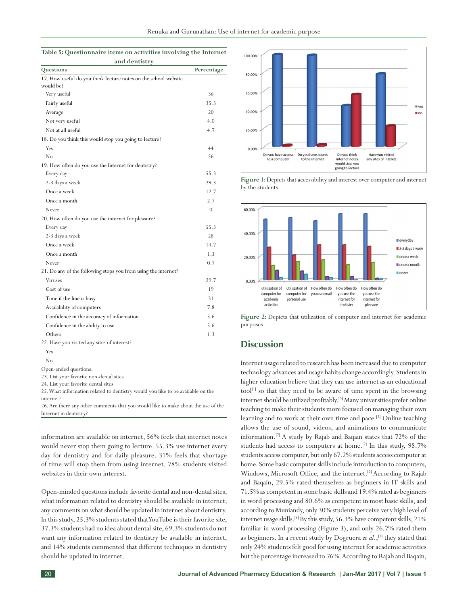| Table 5: Questionnaire items on activities involving the Internet |               |  |
|-------------------------------------------------------------------|---------------|--|
|                                                                   | and dentistry |  |

| anu uchusu<br>Questions                                         | Percentage |
|-----------------------------------------------------------------|------------|
| 17. How useful do you think lecture notes on the school website |            |
| would be?                                                       |            |
| Very useful                                                     | 36         |
| Fairly useful                                                   | 35.3       |
| Average                                                         | 20         |
| Not very useful                                                 | 4.0        |
| Not at all useful                                               | 4.7        |
| 18. Do you think this would stop you going to lecture?          |            |
| Yes                                                             | 44         |
| No                                                              | 56         |
| 19. How often do you use the Internet for dentistry?            |            |
| Every day                                                       | 55.3       |
| 2-3 days a week                                                 | 29.3       |
| Once a week                                                     | 12.7       |
| Once a month                                                    | 2.7        |
| Never                                                           | $\theta$   |
| 20. How often do you use the internet for pleasure?             |            |
| Every day                                                       | 55.3       |
| 2-3 days a week                                                 | 28         |
| Once a week                                                     | 14.7       |
| Once a month                                                    | 1.3        |
| Never                                                           | 0.7        |
| 21. Do any of the following stops you from using the internet?  |            |
| <b>Viruses</b>                                                  | 29.7       |
| Cost of use                                                     | 19         |
| Time if the line is busy                                        | 31         |
| Availability of computers                                       | 7.8        |
| Confidence in the accuracy of information                       | 5.6        |
| Confidence in the ability to use                                | 5.6        |
| Others                                                          | 1.3        |
| 22. Have you visited any sites of interest?                     |            |
| Yes                                                             |            |
| No                                                              |            |
| Open-ended questions:                                           |            |

23. List your favorite non-dental sites

24. List your favorite dental sites

25. What information related to dentistry would you like to be available on the internet?

26. Are there any other comments that you would like to make about the use of the Internet in dentistry?

information are available on internet, 56% feels that internet notes would never stop them going to lecture. 55.3% use internet every day for dentistry and for daily pleasure. 31% feels that shortage of time will stop them from using internet. 78% students visited websites in their own interest.

Open-minded questions include favorite dental and non-dental sites, what information related to dentistry should be available in internet, any comments on what should be updated in internet about dentistry. In this study, 25.3% students stated that YouTube is their favorite site, 37.3% students had no idea about dental site, 69.3% students do not want any information related to dentistry be available in internet, and 14% students commented that different techniques in dentistry should be updated in internet.



**Figure 1:**Depicts that accessibility and interest over computer and internet by the students



**Figure 2:** Depicts that utilization of computer and internet for academic purposes

# **Discussion**

Internet usage related to research has been increased due to computer technology advances and usage habits change accordingly. Students in higher education believe that they can use internet as an educational tool[1] so that they need to be aware of time spent in the browsing internet should be utilized profitably.[6] Many universities prefer online teaching to make their students more focused on managing their own learning and to work at their own time and pace.<sup>[2]</sup> Online teaching allows the use of sound, videos, and animations to communicate information.[7] A study by Rajab and Baqain states that 72% of the students had access to computers at home.<sup>[2]</sup> In this study,  $98.7\%$ students access computer, but only 67.2% students access computer at home. Some basic computer skills include introduction to computers, Windows, Microsoft Office, and the internet.<sup>[2]</sup> According to Rajab and Baqain, 29.5% rated themselves as beginners in IT skills and 71.5% as competent in some basic skills and 19.4% rated as beginners in word processing and 80.6% as competent in most basic skills, and according to Muniandy, only 30% students perceive very high level of internet usage skills.[8] By this study, 56.3% have competent skills, 21% familiar in word processing (Figure 3), and only 26.7% rated them as beginners. In a recent study by Dogruera *et al.*,<sup>[1]</sup> they stated that only 24% students felt good for using internet for academic activities but the percentage increased to 76%. According to Rajab and Baqain,